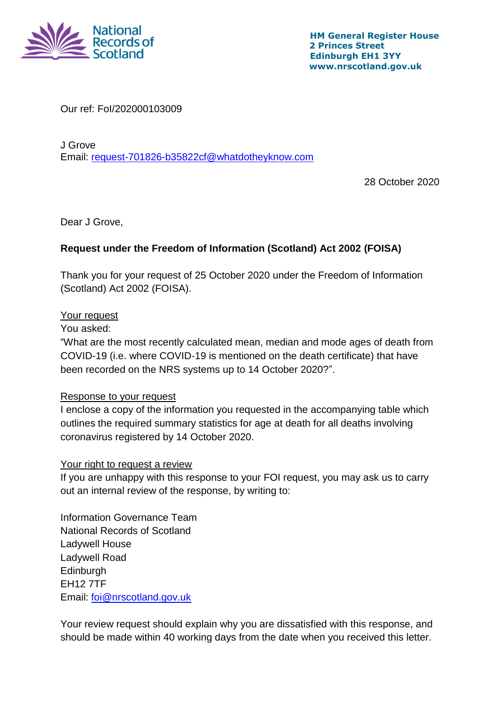

Our ref: FoI/202000103009

J Grove Email: [request-701826-b35822cf@whatdotheyknow.com](mailto:xxxxxxxxxxxxxxxxxxxxxxx@xxxxxxxxxxxxxx.xxx)

28 October 2020

Dear J Grove,

## **Request under the Freedom of Information (Scotland) Act 2002 (FOISA)**

Thank you for your request of 25 October 2020 under the Freedom of Information (Scotland) Act 2002 (FOISA).

## Your request

You asked:

"What are the most recently calculated mean, median and mode ages of death from COVID-19 (i.e. where COVID-19 is mentioned on the death certificate) that have been recorded on the NRS systems up to 14 October 2020?".

## Response to your request

I enclose a copy of the information you requested in the accompanying table which outlines the required summary statistics for age at death for all deaths involving coronavirus registered by 14 October 2020.

## Your right to request a review

If you are unhappy with this response to your FOI request, you may ask us to carry out an internal review of the response, by writing to:

Information Governance Team National Records of Scotland Ladywell House Ladywell Road **Edinburgh** EH12 7TF Email: [foi@nrscotland.gov.uk](mailto:xxx@xxxxxxxxxx.xxx.xx)

Your review request should explain why you are dissatisfied with this response, and should be made within 40 working days from the date when you received this letter.